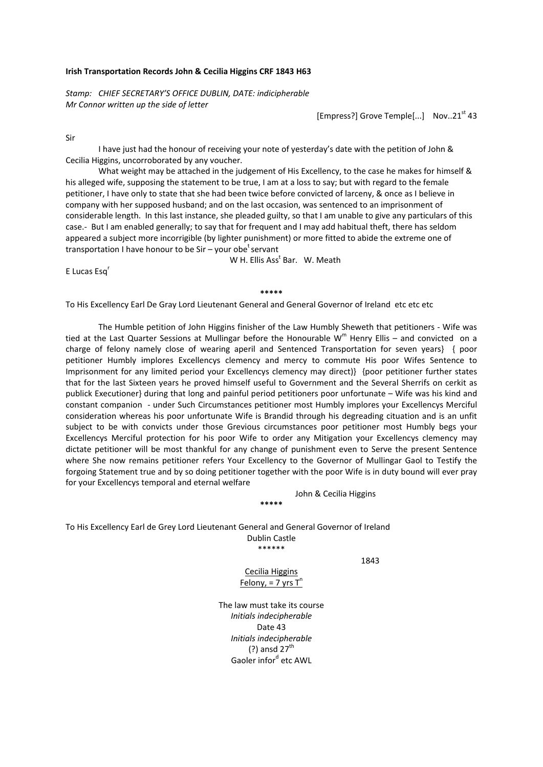## **Irish Transportation Records John & Cecilia Higgins CRF 1843 H63**

*Stamp: CHIEF SECRETARY'S OFFICE DUBLIN, DATE: indicipherable Mr Connor written up the side of letter* 

 $[Empress!]$  Grove Temple $[...]$  Nov..21<sup>st</sup> 43

Sir

I have just had the honour of receiving your note of yesterday's date with the petition of John & Cecilia Higgins, uncorroborated by any voucher.

What weight may be attached in the judgement of His Excellency, to the case he makes for himself & his alleged wife, supposing the statement to be true, I am at a loss to say; but with regard to the female petitioner, I have only to state that she had been twice before convicted of larceny, & once as I believe in company with her supposed husband; and on the last occasion, was sentenced to an imprisonment of considerable length. In this last instance, she pleaded guilty, so that I am unable to give any particulars of this case.‐ But I am enabled generally; to say that for frequent and I may add habitual theft, there has seldom appeared a subject more incorrigible (by lighter punishment) or more fitted to abide the extreme one of transportation I have honour to be Sir – your obe<sup>t</sup> servant

W H. Ellis Ass<sup>t</sup> Bar. W. Meath

E Lucas Esq<sup>r</sup>

**\*\*\*\*\***

To His Excellency Earl De Gray Lord Lieutenant General and General Governor of Ireland etc etc etc

The Humble petition of John Higgins finisher of the Law Humbly Sheweth that petitioners ‐ Wife was tied at the Last Quarter Sessions at Mullingar before the Honourable  $W<sup>m</sup>$  Henry Ellis – and convicted on a charge of felony namely close of wearing aperil and Sentenced Transportation for seven years} { poor petitioner Humbly implores Excellencys clemency and mercy to commute His poor Wifes Sentence to Imprisonment for any limited period your Excellencys clemency may direct)} {poor petitioner further states that for the last Sixteen years he proved himself useful to Government and the Several Sherrifs on cerkit as publick Executioner} during that long and painful period petitioners poor unfortunate – Wife was his kind and constant companion ‐ under Such Circumstances petitioner most Humbly implores your Excellencys Merciful consideration whereas his poor unfortunate Wife is Brandid through his degreading cituation and is an unfit subject to be with convicts under those Grevious circumstances poor petitioner most Humbly begs your Excellencys Merciful protection for his poor Wife to order any Mitigation your Excellencys clemency may dictate petitioner will be most thankful for any change of punishment even to Serve the present Sentence where She now remains petitioner refers Your Excellency to the Governor of Mullingar Gaol to Testify the forgoing Statement true and by so doing petitioner together with the poor Wife is in duty bound will ever pray for your Excellencys temporal and eternal welfare

John & Cecilia Higgins

To His Excellency Earl de Grey Lord Lieutenant General and General Governor of Ireland Dublin Castle

1843

Cecilia Higgins Felony, = 7 yrs T n

**\*\*\*\*\***

\*\*\*\*\*\*

The law must take its course *Initials indecipherable* Date 43 *Initials indecipherable*  $(?)$  ansd  $27<sup>th</sup>$ Gaoler inford etc AWL